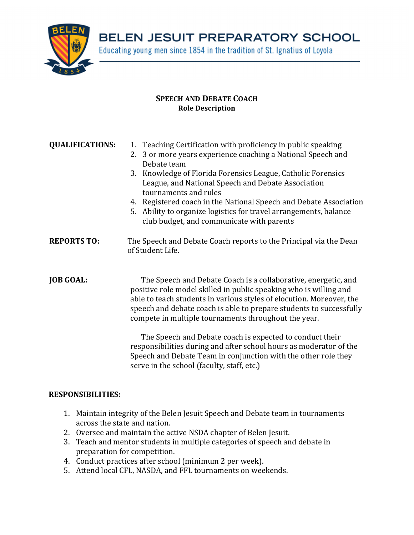

BELEN JESUIT PREPARATORY SCHOOL

Educating young men since 1854 in the tradition of St. Ignatius of Loyola

## **SPEECH AND DEBATE COACH Role Description**

| <b>QUALIFICATIONS:</b> | 1. Teaching Certification with proficiency in public speaking<br>2. 3 or more years experience coaching a National Speech and<br>Debate team<br>3. Knowledge of Florida Forensics League, Catholic Forensics<br>League, and National Speech and Debate Association<br>tournaments and rules<br>4. Registered coach in the National Speech and Debate Association<br>5. Ability to organize logistics for travel arrangements, balance<br>club budget, and communicate with parents                                                                                                           |
|------------------------|----------------------------------------------------------------------------------------------------------------------------------------------------------------------------------------------------------------------------------------------------------------------------------------------------------------------------------------------------------------------------------------------------------------------------------------------------------------------------------------------------------------------------------------------------------------------------------------------|
| <b>REPORTS TO:</b>     | The Speech and Debate Coach reports to the Principal via the Dean<br>of Student Life.                                                                                                                                                                                                                                                                                                                                                                                                                                                                                                        |
| <b>JOB GOAL:</b>       | The Speech and Debate Coach is a collaborative, energetic, and<br>positive role model skilled in public speaking who is willing and<br>able to teach students in various styles of elocution. Moreover, the<br>speech and debate coach is able to prepare students to successfully<br>compete in multiple tournaments throughout the year.<br>The Speech and Debate coach is expected to conduct their<br>responsibilities during and after school hours as moderator of the<br>Speech and Debate Team in conjunction with the other role they<br>serve in the school (faculty, staff, etc.) |

## **RESPONSIBILITIES:**

- 1. Maintain integrity of the Belen Jesuit Speech and Debate team in tournaments across the state and nation.
- 2. Oversee and maintain the active NSDA chapter of Belen Jesuit.
- 3. Teach and mentor students in multiple categories of speech and debate in preparation for competition.
- 4. Conduct practices after school (minimum 2 per week).
- 5. Attend local CFL, NASDA, and FFL tournaments on weekends.